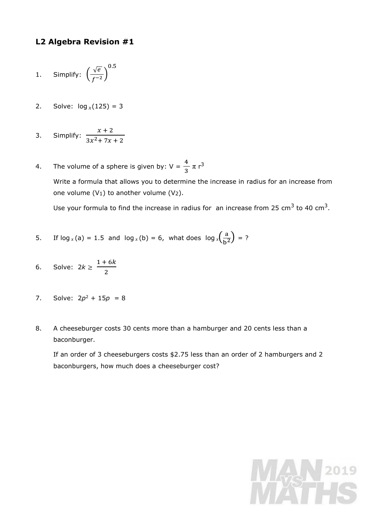## **L2 Algebra Revision #1**

1. Simplify: 
$$
\left(\frac{\sqrt{e}}{f^{-2}}\right)^{0.5}
$$

- 2. Solve:  $log_x(125) = 3$
- 3. Simplify:  $x + 2$  $3x^2$  + 7x + 2
- 4. The volume of a sphere is given by:  $V = \frac{4}{3}$  $\frac{4}{3} \pi r^3$ Write a formula that allows you to determine the increase in radius for an increase from one volume  $(V_1)$  to another volume  $(V_2)$ .

Use your formula to find the increase in radius for an increase from 25 cm<sup>3</sup> to 40 cm<sup>3</sup>.

- 5. If  $\log x$ (a) = 1.5 and  $\log x$ (b) = 6, what does  $\log x$ ( $\frac{a}{b^2}$  $\frac{a}{b^2}$ ) = ?
- 6. Solve: 2*k* ≥  $1 + 6k$ 2
- 7. Solve:  $2p^2 + 15p = 8$
- 8. A cheeseburger costs 30 cents more than a hamburger and 20 cents less than a baconburger.

If an order of 3 cheeseburgers costs \$2.75 less than an order of 2 hamburgers and 2 baconburgers, how much does a cheeseburger cost?